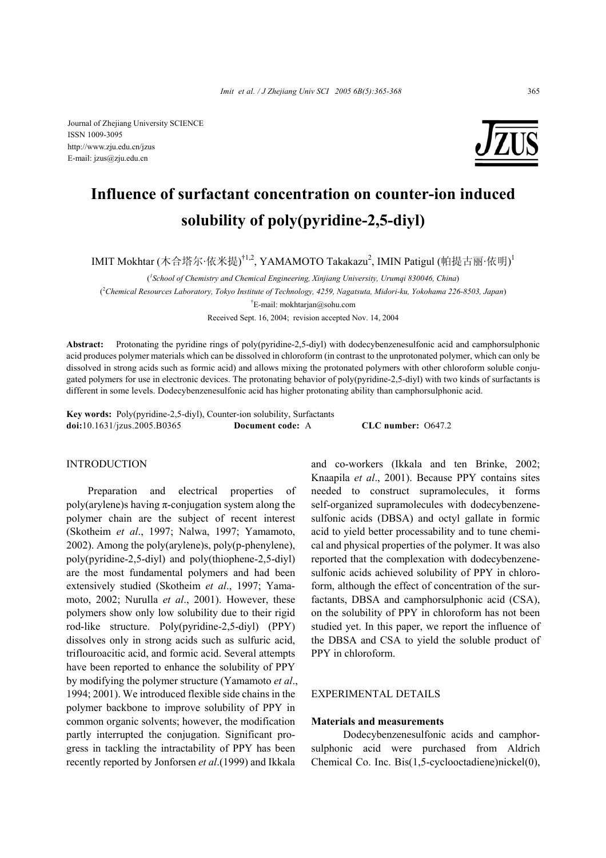Journal of Zhejiang University SCIENCE ISSN 1009-3095 http://www.zju.edu.cn/jzus E-mail: jzus@zju.edu.cn



# **Influence of surfactant concentration on counter-ion induced solubility of poly(pyridine-2,5-diyl)**

IMIT Mokhtar (木合塔尔·依米提)<sup>†1,2</sup>, YAMAMOTO Takakazu<sup>2</sup>, IMIN Patigul (帕提古丽·依明)<sup>1</sup>

( *1 School of Chemistry and Chemical Engineering, Xinjiang University, Urumqi 830046, China*)

( 2 *Chemical Resources Laboratory, Tokyo Institute of Technology, 4259, Nagatsuta, Midori-ku, Yokohama 226-8503, Japan*)

† E-mail: mokhtarjan@sohu.com

Received Sept. 16, 2004; revision accepted Nov. 14, 2004

**Abstract:** Protonating the pyridine rings of poly(pyridine-2,5-diyl) with dodecybenzenesulfonic acid and camphorsulphonic acid produces polymer materials which can be dissolved in chloroform (in contrast to the unprotonated polymer, which can only be dissolved in strong acids such as formic acid) and allows mixing the protonated polymers with other chloroform soluble conjugated polymers for use in electronic devices. The protonating behavior of poly(pyridine-2,5-diyl) with two kinds of surfactants is different in some levels. Dodecybenzenesulfonic acid has higher protonating ability than camphorsulphonic acid.

**Key words:** Poly(pyridine-2,5-diyl), Counter-ion solubility, Surfactants **doi:**10.1631/jzus.2005.B0365 **Document code:** A **CLC number:** O647.2

## INTRODUCTION

Preparation and electrical properties of poly(arylene)s having  $\pi$ -conjugation system along the polymer chain are the subject of recent interest (Skotheim *et al*., 1997; Nalwa, 1997; Yamamoto, 2002). Among the poly(arylene)s, poly(p-phenylene), poly(pyridine-2,5-diyl) and poly(thiophene-2,5-diyl) are the most fundamental polymers and had been extensively studied (Skotheim *et al*., 1997; Yamamoto, 2002; Nurulla *et al*., 2001). However, these polymers show only low solubility due to their rigid rod-like structure. Poly(pyridine-2,5-diyl) (PPY) dissolves only in strong acids such as sulfuric acid, triflouroacitic acid, and formic acid. Several attempts have been reported to enhance the solubility of PPY by modifying the polymer structure (Yamamoto *et al*., 1994; 2001). We introduced flexible side chains in the polymer backbone to improve solubility of PPY in common organic solvents; however, the modification partly interrupted the conjugation. Significant progress in tackling the intractability of PPY has been recently reported by Jonforsen *et al*.(1999) and Ikkala

and co-workers (Ikkala and ten Brinke, 2002; Knaapila *et al*., 2001). Because PPY contains sites needed to construct supramolecules, it forms self-organized supramolecules with dodecybenzenesulfonic acids (DBSA) and octyl gallate in formic acid to yield better processability and to tune chemical and physical properties of the polymer. It was also reported that the complexation with dodecybenzenesulfonic acids achieved solubility of PPY in chloroform, although the effect of concentration of the surfactants, DBSA and camphorsulphonic acid (CSA), on the solubility of PPY in chloroform has not been studied yet. In this paper, we report the influence of the DBSA and CSA to yield the soluble product of PPY in chloroform.

## EXPERIMENTAL DETAILS

#### **Materials and measurements**

Dodecybenzenesulfonic acids and camphorsulphonic acid were purchased from Aldrich Chemical Co. Inc. Bis(1,5-cyclooctadiene)nickel(0),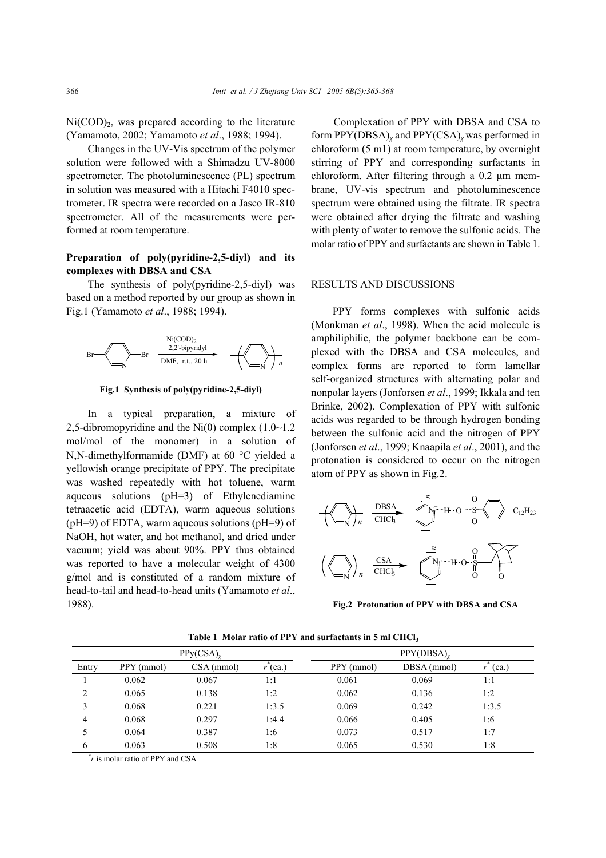$Ni(COD)_2$ , was prepared according to the literature (Yamamoto, 2002; Yamamoto *et al*., 1988; 1994).

Changes in the UV-Vis spectrum of the polymer solution were followed with a Shimadzu UV-8000 spectrometer. The photoluminescence (PL) spectrum in solution was measured with a Hitachi F4010 spectrometer. IR spectra were recorded on a Jasco IR-810 spectrometer. All of the measurements were performed at room temperature.

## **Preparation of poly(pyridine-2,5-diyl) and its complexes with DBSA and CSA**

The synthesis of poly(pyridine-2,5-diyl) was based on a method reported by our group as shown in Fig.1 (Yamamoto *et al*., 1988; 1994).



**Fig.1 Synthesis of poly(pyridine-2,5-diyl)** 

In a typical preparation, a mixture of 2,5-dibromopyridine and the  $Ni(0)$  complex  $(1.0~1.2)$ mol/mol of the monomer) in a solution of N,N-dimethylformamide (DMF) at 60 °C yielded a yellowish orange precipitate of PPY. The precipitate was washed repeatedly with hot toluene, warm aqueous solutions (pH=3) of Ethylenediamine tetraacetic acid (EDTA), warm aqueous solutions (pH=9) of EDTA, warm aqueous solutions (pH=9) of NaOH, hot water, and hot methanol, and dried under vacuum; yield was about 90%. PPY thus obtained was reported to have a molecular weight of 4300 g/mol and is constituted of a random mixture of head-to-tail and head-to-head units (Yamamoto *et al*., 1988).

Complexation of PPY with DBSA and CSA to form PPY(DBSA)*χ* and PPY(CSA)*<sup>χ</sup>* was performed in chloroform (5 m1) at room temperature, by overnight stirring of PPY and corresponding surfactants in chloroform. After filtering through a 0.2 µm membrane, UV-vis spectrum and photoluminescence spectrum were obtained using the filtrate. IR spectra were obtained after drying the filtrate and washing with plenty of water to remove the sulfonic acids. The molar ratio of PPY and surfactants are shown in Table 1.

#### RESULTS AND DISCUSSIONS

PPY forms complexes with sulfonic acids (Monkman *et al*., 1998). When the acid molecule is amphiliphilic, the polymer backbone can be complexed with the DBSA and CSA molecules, and complex forms are reported to form lamellar self-organized structures with alternating polar and nonpolar layers (Jonforsen *et al*., 1999; Ikkala and ten Brinke, 2002). Complexation of PPY with sulfonic acids was regarded to be through hydrogen bonding between the sulfonic acid and the nitrogen of PPY (Jonforsen *et al*., 1999; Knaapila *et al*., 2001), and the protonation is considered to occur on the nitrogen atom of PPY as shown in Fig.2.



**Fig.2 Protonation of PPY with DBSA and CSA**

| PPy(CSA)       |            |              |       | $PPY(DBSA)_{\gamma}$ |             |       |
|----------------|------------|--------------|-------|----------------------|-------------|-------|
| Entry          | PPY (mmol) | $CSA$ (mmol) | (ca)  | PPY (mmol)           | DBSA (mmol) | (ca.) |
|                | 0.062      | 0.067        | 1:1   | 0.061                | 0.069       | 1:1   |
| $\overline{c}$ | 0.065      | 0.138        | 1:2   | 0.062                | 0.136       | 1:2   |
| 3              | 0.068      | 0.221        | 1:3.5 | 0.069                | 0.242       | 1:3.5 |
| 4              | 0.068      | 0.297        | 1:4.4 | 0.066                | 0.405       | 1:6   |
|                | 0.064      | 0.387        | 1:6   | 0.073                | 0.517       | 1:7   |
| 6              | 0.063      | 0.508        | 1:8   | 0.065                | 0.530       | 1:8   |
| <b>Service</b> |            |              |       |                      |             |       |

**Table 1 Molar ratio of PPY and surfactants in 5 ml CHCl3** 

\* *r* is molar ratio of PPY and CSA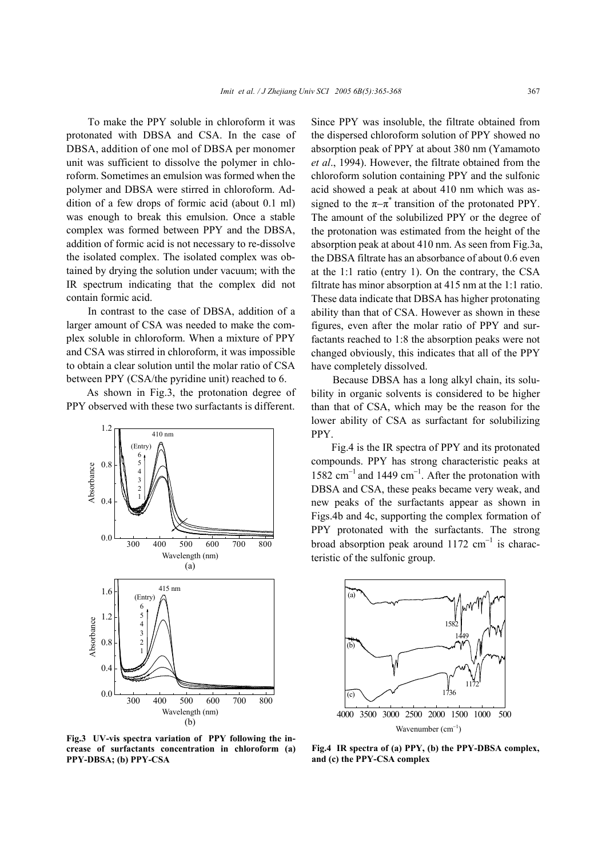To make the PPY soluble in chloroform it was protonated with DBSA and CSA. In the case of DBSA, addition of one mol of DBSA per monomer unit was sufficient to dissolve the polymer in chloroform. Sometimes an emulsion was formed when the polymer and DBSA were stirred in chloroform. Addition of a few drops of formic acid (about 0.1 ml) was enough to break this emulsion. Once a stable complex was formed between PPY and the DBSA, addition of formic acid is not necessary to re-dissolve the isolated complex. The isolated complex was obtained by drying the solution under vacuum; with the IR spectrum indicating that the complex did not contain formic acid.

In contrast to the case of DBSA, addition of a larger amount of CSA was needed to make the complex soluble in chloroform. When a mixture of PPY and CSA was stirred in chloroform, it was impossible to obtain a clear solution until the molar ratio of CSA between PPY (CSA/the pyridine unit) reached to 6.

As shown in Fig.3, the protonation degree of PPY observed with these two surfactants is different.



**Fig.3 UV-vis spectra variation of PPY following the increase of surfactants concentration in chloroform (a) PPY-DBSA; (b) PPY-CSA** 

Since PPY was insoluble, the filtrate obtained from the dispersed chloroform solution of PPY showed no absorption peak of PPY at about 380 nm (Yamamoto *et al*., 1994). However, the filtrate obtained from the chloroform solution containing PPY and the sulfonic acid showed a peak at about 410 nm which was assigned to the  $\pi-\pi^*$  transition of the protonated PPY. The amount of the solubilized PPY or the degree of the protonation was estimated from the height of the absorption peak at about 410 nm. As seen from Fig.3a, the DBSA filtrate has an absorbance of about 0.6 even at the 1:1 ratio (entry 1). On the contrary, the CSA filtrate has minor absorption at 415 nm at the 1:1 ratio. These data indicate that DBSA has higher protonating ability than that of CSA. However as shown in these figures, even after the molar ratio of PPY and surfactants reached to 1:8 the absorption peaks were not changed obviously, this indicates that all of the PPY have completely dissolved.

Because DBSA has a long alkyl chain, its solubility in organic solvents is considered to be higher than that of CSA, which may be the reason for the lower ability of CSA as surfactant for solubilizing PPY.

Fig.4 is the IR spectra of PPY and its protonated compounds. PPY has strong characteristic peaks at 1582 cm<sup>−</sup>1 and 1449 cm<sup>−</sup><sup>1</sup> . After the protonation with DBSA and CSA, these peaks became very weak, and new peaks of the surfactants appear as shown in Figs.4b and 4c, supporting the complex formation of PPY protonated with the surfactants. The strong broad absorption peak around 1172  $cm^{-1}$  is characteristic of the sulfonic group.



**Fig.4 IR spectra of (a) PPY, (b) the PPY-DBSA complex, and (c) the PPY-CSA complex**